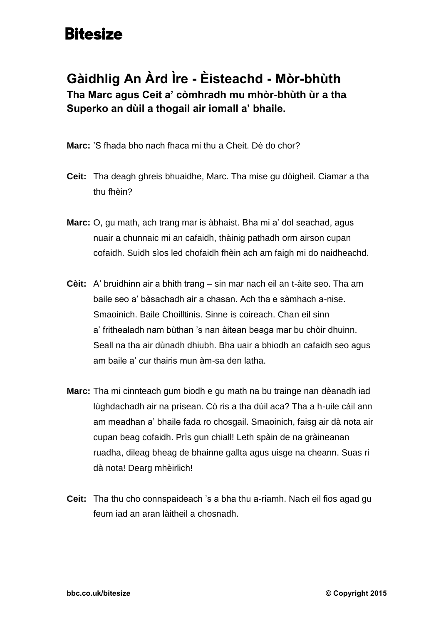## **Bitesize**

## **Gàidhlig An Àrd Ìre - Èisteachd - Mòr-bhùth Tha Marc agus Ceit a' còmhradh mu mhòr-bhùth ùr a tha Superko an dùil a thogail air iomall a' bhaile.**

**Marc:** 'S fhada bho nach fhaca mi thu a Cheit. Dè do chor?

- **Ceit:** Tha deagh ghreis bhuaidhe, Marc. Tha mise gu dòigheil. Ciamar a tha thu fhèin?
- **Marc:** O, gu math, ach trang mar is àbhaist. Bha mi a' dol seachad, agus nuair a chunnaic mi an cafaidh, thàinig pathadh orm airson cupan cofaidh. Suidh sìos led chofaidh fhèin ach am faigh mi do naidheachd.
- **Cèit:** A' bruidhinn air a bhith trang sin mar nach eil an t-àite seo. Tha am baile seo a' bàsachadh air a chasan. Ach tha e sàmhach a-nise. Smaoinich. Baile Choilltinis. Sinne is coireach. Chan eil sinn a' frithealadh nam bùthan 's nan àitean beaga mar bu chòir dhuinn. Seall na tha air dùnadh dhiubh. Bha uair a bhiodh an cafaidh seo agus am baile a' cur thairis mun àm-sa den latha.
- **Marc:** Tha mi cinnteach gum biodh e gu math na bu trainge nan dèanadh iad lùghdachadh air na prìsean. Cò ris a tha dùil aca? Tha a h-uile càil ann am meadhan a' bhaile fada ro chosgail. Smaoinich, faisg air dà nota air cupan beag cofaidh. Prìs gun chiall! Leth spàin de na gràineanan ruadha, dileag bheag de bhainne gallta agus uisge na cheann. Suas ri dà nota! Dearg mhèirlich!
- **Ceit:** Tha thu cho connspaideach 's a bha thu a-riamh. Nach eil fios agad gu feum iad an aran làitheil a chosnadh.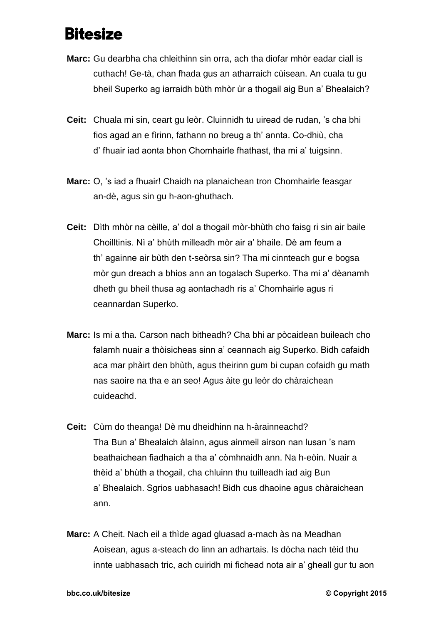## **Bitesize**

- **Marc:** Gu dearbha cha chleithinn sin orra, ach tha diofar mhòr eadar ciall is cuthach! Ge-tà, chan fhada gus an atharraich cùisean. An cuala tu gu bheil Superko ag iarraidh bùth mhòr ùr a thogail aig Bun a' Bhealaich?
- **Ceit:** Chuala mi sin, ceart gu leòr. Cluinnidh tu uiread de rudan, 's cha bhi fios agad an e fìrinn, fathann no breug a th' annta. Co-dhiù, cha d' fhuair iad aonta bhon Chomhairle fhathast, tha mi a' tuigsinn.
- **Marc:** O, 's iad a fhuair! Chaidh na planaichean tron Chomhairle feasgar an-dè, agus sin gu h-aon-ghuthach.
- **Ceit:** Dìth mhòr na cèille, a' dol a thogail mòr-bhùth cho faisg ri sin air baile Choilltinis. Nì a' bhùth milleadh mòr air a' bhaile. Dè am feum a th' againne air bùth den t-seòrsa sin? Tha mi cinnteach gur e bogsa mòr gun dreach a bhios ann an togalach Superko. Tha mi a' dèanamh dheth gu bheil thusa ag aontachadh ris a' Chomhairle agus ri ceannardan Superko.
- **Marc:** Is mi a tha. Carson nach bitheadh? Cha bhi ar pòcaidean buileach cho falamh nuair a thòisicheas sinn a' ceannach aig Superko. Bidh cafaidh aca mar phàirt den bhùth, agus theirinn gum bi cupan cofaidh gu math nas saoire na tha e an seo! Agus àite gu leòr do chàraichean cuideachd.
- **Ceit:** Cùm do theanga! Dè mu dheidhinn na h-àrainneachd? Tha Bun a' Bhealaich àlainn, agus ainmeil airson nan lusan 's nam beathaichean fiadhaich a tha a' còmhnaidh ann. Na h-eòin. Nuair a thèid a' bhùth a thogail, cha chluinn thu tuilleadh iad aig Bun a' Bhealaich. Sgrios uabhasach! Bidh cus dhaoine agus chàraichean ann.
- **Marc:** A Cheit. Nach eil a thìde agad gluasad a-mach às na Meadhan Aoisean, agus a-steach do linn an adhartais. Is dòcha nach tèid thu innte uabhasach tric, ach cuiridh mi fichead nota air a' gheall gur tu aon